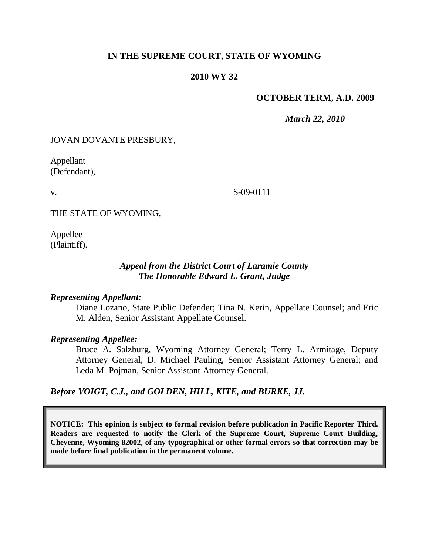# **IN THE SUPREME COURT, STATE OF WYOMING**

## **2010 WY 32**

#### **OCTOBER TERM, A.D. 2009**

*March 22, 2010*

JOVAN DOVANTE PRESBURY,

Appellant (Defendant),

v.

S-09-0111

THE STATE OF WYOMING,

Appellee (Plaintiff).

## *Appeal from the District Court of Laramie County The Honorable Edward L. Grant, Judge*

#### *Representing Appellant:*

Diane Lozano, State Public Defender; Tina N. Kerin, Appellate Counsel; and Eric M. Alden, Senior Assistant Appellate Counsel.

#### *Representing Appellee:*

Bruce A. Salzburg, Wyoming Attorney General; Terry L. Armitage, Deputy Attorney General; D. Michael Pauling, Senior Assistant Attorney General; and Leda M. Pojman, Senior Assistant Attorney General.

*Before VOIGT, C.J., and GOLDEN, HILL, KITE, and BURKE, JJ.*

**NOTICE: This opinion is subject to formal revision before publication in Pacific Reporter Third. Readers are requested to notify the Clerk of the Supreme Court, Supreme Court Building, Cheyenne, Wyoming 82002, of any typographical or other formal errors so that correction may be made before final publication in the permanent volume.**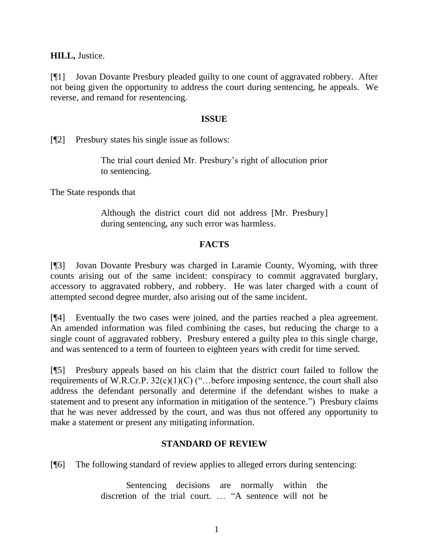**HILL,** Justice.

[¶1] Jovan Dovante Presbury pleaded guilty to one count of aggravated robbery. After not being given the opportunity to address the court during sentencing, he appeals. We reverse, and remand for resentencing.

## **ISSUE**

[¶2] Presbury states his single issue as follows:

The trial court denied Mr. Presbury's right of allocution prior to sentencing.

The State responds that

Although the district court did not address [Mr. Presbury] during sentencing, any such error was harmless.

## **FACTS**

[¶3] Jovan Dovante Presbury was charged in Laramie County, Wyoming, with three counts arising out of the same incident: conspiracy to commit aggravated burglary, accessory to aggravated robbery, and robbery. He was later charged with a count of attempted second degree murder, also arising out of the same incident.

[¶4] Eventually the two cases were joined, and the parties reached a plea agreement. An amended information was filed combining the cases, but reducing the charge to a single count of aggravated robbery. Presbury entered a guilty plea to this single charge, and was sentenced to a term of fourteen to eighteen years with credit for time served.

[¶5] Presbury appeals based on his claim that the district court failed to follow the requirements of W.R.Cr.P.  $32(c)(1)(C)$  ("...before imposing sentence, the court shall also address the defendant personally and determine if the defendant wishes to make a statement and to present any information in mitigation of the sentence.") Presbury claims that he was never addressed by the court, and was thus not offered any opportunity to make a statement or present any mitigating information.

## **STANDARD OF REVIEW**

[¶6] The following standard of review applies to alleged errors during sentencing:

Sentencing decisions are normally within the discretion of the trial court. … "A sentence will not be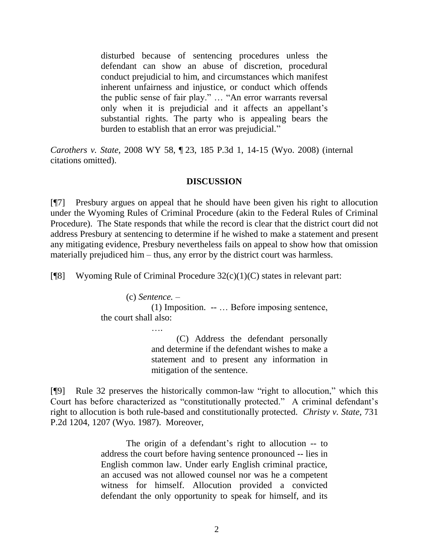disturbed because of sentencing procedures unless the defendant can show an abuse of discretion, procedural conduct prejudicial to him, and circumstances which manifest inherent unfairness and injustice, or conduct which offends the public sense of fair play." … "An error warrants reversal only when it is prejudicial and it affects an appellant's substantial rights. The party who is appealing bears the burden to establish that an error was prejudicial."

*Carothers v. State,* 2008 WY 58, ¶ 23, 185 P.3d 1, 14-15 (Wyo. 2008) (internal citations omitted).

## **DISCUSSION**

[¶7] Presbury argues on appeal that he should have been given his right to allocution under the Wyoming Rules of Criminal Procedure (akin to the Federal Rules of Criminal Procedure). The State responds that while the record is clear that the district court did not address Presbury at sentencing to determine if he wished to make a statement and present any mitigating evidence, Presbury nevertheless fails on appeal to show how that omission materially prejudiced him – thus, any error by the district court was harmless.

[ $[$ 8] Wyoming Rule of Criminal Procedure 32(c)(1)(C) states in relevant part:

(c) *Sentence. –*

(1) Imposition.-- … Before imposing sentence, the court shall also:

> …. (C) Address the defendant personally and determine if the defendant wishes to make a statement and to present any information in mitigation of the sentence.

[¶9] Rule 32 preserves the historically common-law "right to allocution," which this Court has before characterized as "constitutionally protected." A criminal defendant's right to allocution is both rule-based and constitutionally protected. *Christy v. State,* 731 P.2d 1204, 1207 (Wyo. 1987). Moreover,

> The origin of a defendant's right to allocution -- to address the court before having sentence pronounced -- lies in English common law. Under early English criminal practice, an accused was not allowed counsel nor was he a competent witness for himself. Allocution provided a convicted defendant the only opportunity to speak for himself, and its